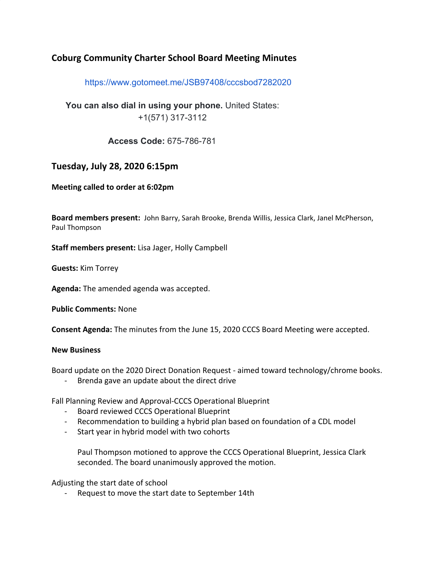## **Coburg Community Charter School Board Meeting Minutes**

https://www.gotomeet.me/JSB97408/cccsbod7282020

**You can also dial in using your phone.** United States: +1(571) 317-3112

**Access Code:** 675-786-781

## **Tuesday, July 28, 2020 6:15pm**

**Meeting called to order at 6:02pm**

**Board members present:** John Barry, Sarah Brooke, Brenda Willis, Jessica Clark, Janel McPherson, Paul Thompson

**Staff members present:** Lisa Jager, Holly Campbell

**Guests:** Kim Torrey

**Agenda:** The amended agenda was accepted.

**Public Comments:** None

**Consent Agenda:** The minutes from the June 15, 2020 CCCS Board Meeting were accepted.

## **New Business**

Board update on the 2020 Direct Donation Request - aimed toward technology/chrome books.

- Brenda gave an update about the direct drive

Fall Planning Review and Approval-CCCS Operational Blueprint

- Board reviewed CCCS Operational Blueprint
- Recommendation to building a hybrid plan based on foundation of a CDL model
- Start year in hybrid model with two cohorts

Paul Thompson motioned to approve the CCCS Operational Blueprint, Jessica Clark seconded. The board unanimously approved the motion.

Adjusting the start date of school

Request to move the start date to September 14th